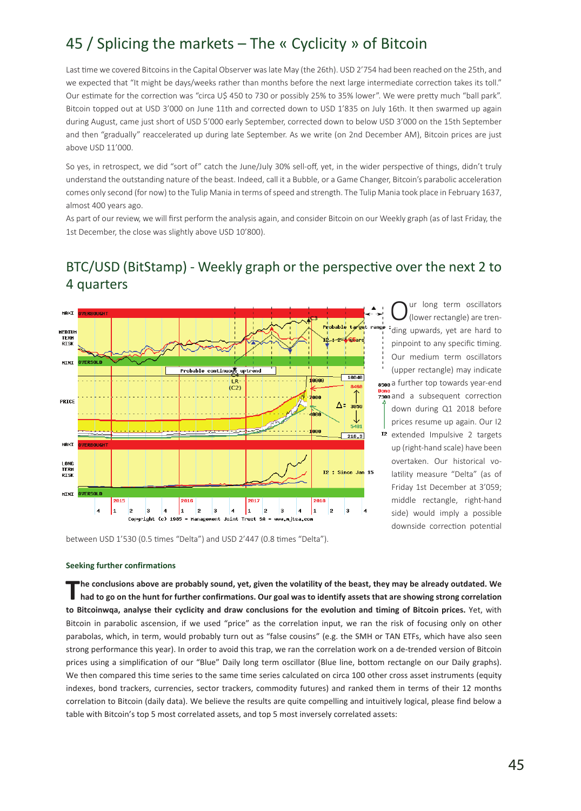# 45 / Splicing the markets – The « Cyclicity » of Bitcoin

Last time we covered Bitcoins in the Capital Observer was late May (the 26th). USD 2'754 had been reached on the 25th, and we expected that "It might be days/weeks rather than months before the next large intermediate correction takes its toll." Our estimate for the correction was "circa U\$ 450 to 730 or possibly 25% to 35% lower". We were pretty much "ball park". Bitcoin topped out at USD 3'000 on June 11th and corrected down to USD 1'835 on July 16th. It then swarmed up again during August, came just short of USD 5'000 early September, corrected down to below USD 3'000 on the 15th September and then "gradually" reaccelerated up during late September. As we write (on 2nd December AM), Bitcoin prices are just above USD 11'000.

So yes, in retrospect, we did "sort of" catch the June/July 30% sell-off, yet, in the wider perspective of things, didn't truly understand the outstanding nature of the beast. Indeed, call it a Bubble, or a Game Changer, Bitcoin's parabolic acceleration comes only second (for now) to the Tulip Mania in terms of speed and strength. The Tulip Mania took place in February 1637, almost 400 years ago.

As part of our review, we will first perform the analysis again, and consider Bitcoin on our Weekly graph (as of last Friday, the 1st December, the close was slightly above USD 10'800).

## BTC/USD (BitStamp) - Weekly graph or the perspective over the next 2 to 4 quarters



 $\sum_{n=1}^{\infty}$  (lower rectangle) are trending upwards, yet are hard to pinpoint to any specific timing. Our medium term oscillators (upper rectangle) may indicate 8500 a further top towards year-end **z300** and a subsequent correction down during Q1 2018 before prices resume up again. Our I2 12 extended Impulsive 2 targets up (right-hand scale) have been overtaken. Our historical volatility measure "Delta" (as of Friday 1st December at 3'059; middle rectangle, right-hand side) would imply a possible downside correction potential

between USD 1'530 (0.5 times "Delta") and USD 2'447 (0.8 times "Delta").

#### **Seeking further confirmations**

The conclusions above are probably sound, yet, given the volatility of the beast, they may be already outdated. We<br>had to go on the hunt for further confirmations. Our goal was to identify assets that are showing strong co **to Bitcoinwqa, analyse their cyclicity and draw conclusions for the evolution and timing of Bitcoin prices.** Yet, with Bitcoin in parabolic ascension, if we used "price" as the correlation input, we ran the risk of focusing only on other parabolas, which, in term, would probably turn out as "false cousins" (e.g. the SMH or TAN ETFs, which have also seen strong performance this year). In order to avoid this trap, we ran the correlation work on a de-trended version of Bitcoin prices using a simplification of our "Blue" Daily long term oscillator (Blue line, bottom rectangle on our Daily graphs). We then compared this time series to the same time series calculated on circa 100 other cross asset instruments (equity indexes, bond trackers, currencies, sector trackers, commodity futures) and ranked them in terms of their 12 months correlation to Bitcoin (daily data). We believe the results are quite compelling and intuitively logical, please find below a table with Bitcoin's top 5 most correlated assets, and top 5 most inversely correlated assets: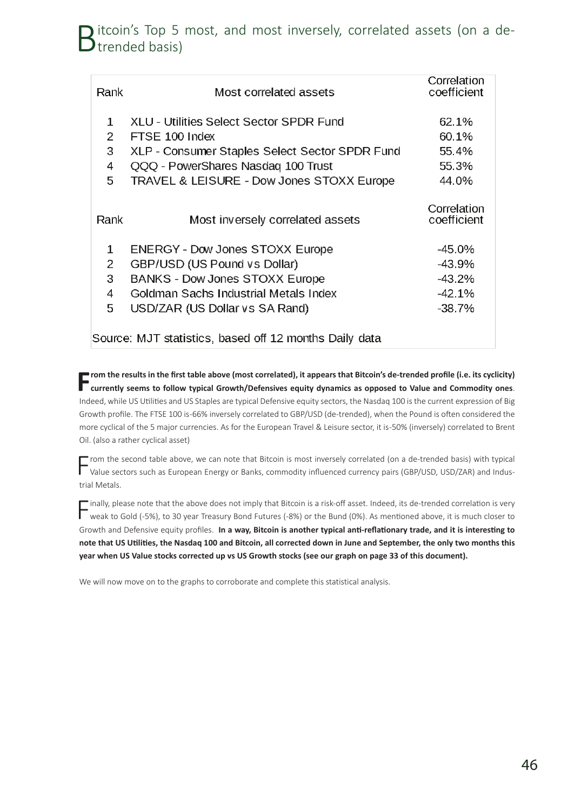## itcoin's Top 5 most, and most inversely, correlated assets (on a de- $\blacktriangleright$  trended basis)

| Rank                                                   | Most correlated assets                         | Correlation<br>coefficient |
|--------------------------------------------------------|------------------------------------------------|----------------------------|
| $\mathbf{1}$                                           | XLU - Utilities Select Sector SPDR Fund        | 62.1%                      |
| 2                                                      | FTSE 100 Index                                 | 60.1%                      |
| 3                                                      | XLP - Consumer Staples Select Sector SPDR Fund | 55.4%                      |
| 4                                                      | QQQ - PowerShares Nasdaq 100 Trust             | 55.3%                      |
| 5                                                      | TRAVEL & LEISURE - Dow Jones STOXX Europe      | 44.0%                      |
| Rank                                                   | Most inversely correlated assets               | Correlation<br>coefficient |
| $\mathbf{1}$                                           | <b>ENERGY - Dow Jones STOXX Europe</b>         | $-45.0%$                   |
| 2                                                      | GBP/USD (US Pound vs Dollar)                   | -43.9%                     |
| 3                                                      | BANKS - Dow Jones STOXX Europe                 | $-43.2%$                   |
| 4                                                      | Goldman Sachs Industrial Metals Index          | $-42.1%$                   |
| 5                                                      | USD/ZAR (US Dollar vs SA Rand)                 | $-38.7%$                   |
| Source: MJT statistics, based off 12 months Daily data |                                                |                            |

Trom the results in the first table above (most correlated), it appears that Bitcoin's de-trended profile (i.e. its cyclicity)<br>Currently seems to follow typical Growth/Defensives equity dynamics as opposed to Value and Com Indeed, while US Utilities and US Staples are typical Defensive equity sectors, the Nasdaq 100 is the current expression of Big Growth profile. The FTSE 100 is -66% inversely correlated to GBP/USD (de-trended), when the Pound is often considered the more cyclical of the 5 major currencies. As for the European Travel & Leisure sector, it is -50% (inversely) correlated to Brent Oil. (also a rather cyclical asset)

From the second table above, we can note that Bitcoin is most inversely correlated (on a de-trended basis) with typical<br>Value sectors such as European Energy or Banks, commodity influenced currency pairs (GBP/USD, USD/ZAR) trial Metals.

 $\Box$  inally, please note that the above does not imply that Bitcoin is a risk-off asset. Indeed, its de-trended correlation is very weak to Gold (-5%), to 30 year Treasury Bond Futures (-8%) or the Bund (0%). As mentioned above, it is much closer to Growth and Defensive equity profiles. **In a way, Bitcoin is another typical anti-reflationary trade, and it is interesting to note that US Utilities, the Nasdaq 100 and Bitcoin, all corrected down in June and September, the only two months this year when US Value stocks corrected up vs US Growth stocks (see our graph on page 33 of this document).** 

We will now move on to the graphs to corroborate and complete this statistical analysis.